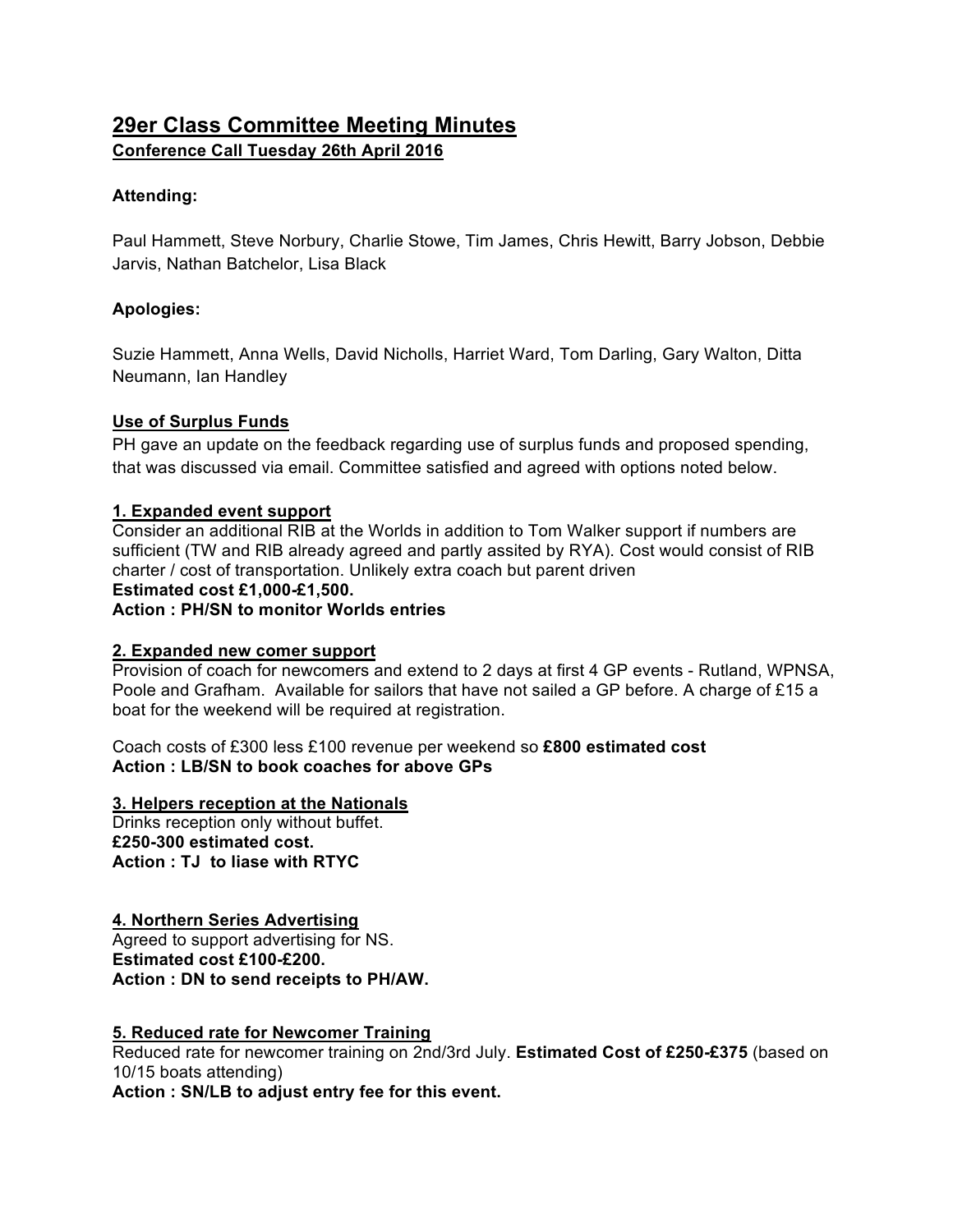# **29er Class Committee Meeting Minutes Conference Call Tuesday 26th April 2016**

# **Attending:**

Paul Hammett, Steve Norbury, Charlie Stowe, Tim James, Chris Hewitt, Barry Jobson, Debbie Jarvis, Nathan Batchelor, Lisa Black

## **Apologies:**

Suzie Hammett, Anna Wells, David Nicholls, Harriet Ward, Tom Darling, Gary Walton, Ditta Neumann, Ian Handley

#### **Use of Surplus Funds**

PH gave an update on the feedback regarding use of surplus funds and proposed spending, that was discussed via email. Committee satisfied and agreed with options noted below.

#### **1. Expanded event support**

Consider an additional RIB at the Worlds in addition to Tom Walker support if numbers are sufficient (TW and RIB already agreed and partly assited by RYA). Cost would consist of RIB charter / cost of transportation. Unlikely extra coach but parent driven

# **Estimated cost £1,000-£1,500.**

**Action : PH/SN to monitor Worlds entries**

#### **2. Expanded new comer support**

Provision of coach for newcomers and extend to 2 days at first 4 GP events - Rutland, WPNSA, Poole and Grafham. Available for sailors that have not sailed a GP before. A charge of £15 a boat for the weekend will be required at registration.

Coach costs of £300 less £100 revenue per weekend so **£800 estimated cost Action : LB/SN to book coaches for above GPs**

#### **3. Helpers reception at the Nationals**

Drinks reception only without buffet. **£250-300 estimated cost. Action : TJ to liase with RTYC**

#### **4. Northern Series Advertising**

Agreed to support advertising for NS. **Estimated cost £100-£200. Action : DN to send receipts to PH/AW.**

#### **5. Reduced rate for Newcomer Training**

Reduced rate for newcomer training on 2nd/3rd July. **Estimated Cost of £250-£375** (based on 10/15 boats attending)

**Action : SN/LB to adjust entry fee for this event.**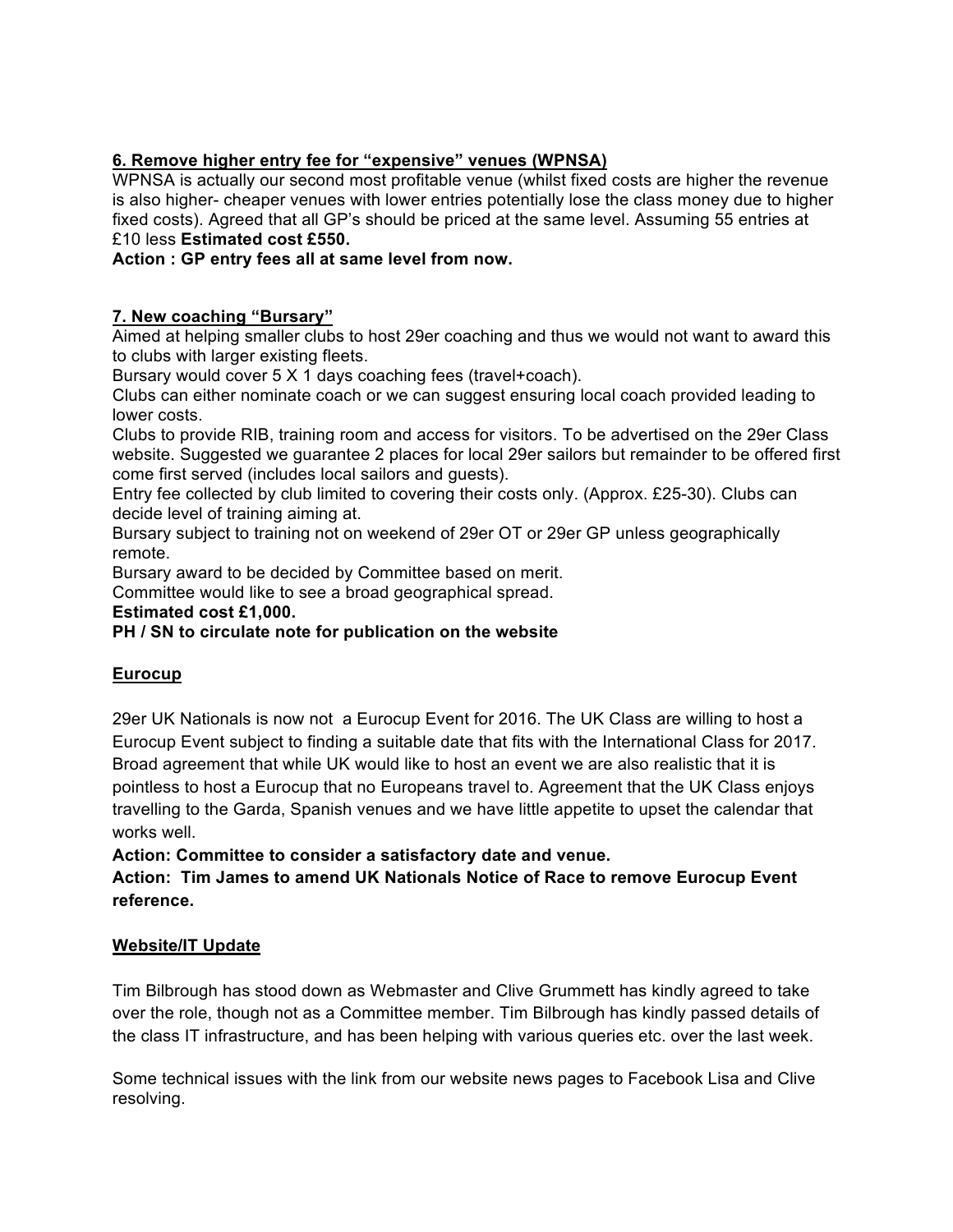# **6. Remove higher entry fee for "expensive" venues (WPNSA)**

WPNSA is actually our second most profitable venue (whilst fixed costs are higher the revenue is also higher- cheaper venues with lower entries potentially lose the class money due to higher fixed costs). Agreed that all GP's should be priced at the same level. Assuming 55 entries at £10 less **Estimated cost £550.** 

**Action : GP entry fees all at same level from now.**

# **7. New coaching "Bursary"**

Aimed at helping smaller clubs to host 29er coaching and thus we would not want to award this to clubs with larger existing fleets.

Bursary would cover 5 X 1 days coaching fees (travel+coach).

Clubs can either nominate coach or we can suggest ensuring local coach provided leading to lower costs.

Clubs to provide RIB, training room and access for visitors. To be advertised on the 29er Class website. Suggested we guarantee 2 places for local 29er sailors but remainder to be offered first come first served (includes local sailors and guests).

Entry fee collected by club limited to covering their costs only. (Approx. £25-30). Clubs can decide level of training aiming at.

Bursary subject to training not on weekend of 29er OT or 29er GP unless geographically remote.

Bursary award to be decided by Committee based on merit.

Committee would like to see a broad geographical spread.

**Estimated cost £1,000.**

# **PH / SN to circulate note for publication on the website**

# **Eurocup**

29er UK Nationals is now not a Eurocup Event for 2016. The UK Class are willing to host a Eurocup Event subject to finding a suitable date that fits with the International Class for 2017. Broad agreement that while UK would like to host an event we are also realistic that it is pointless to host a Eurocup that no Europeans travel to. Agreement that the UK Class enjoys travelling to the Garda, Spanish venues and we have little appetite to upset the calendar that works well.

**Action: Committee to consider a satisfactory date and venue.**

**Action: Tim James to amend UK Nationals Notice of Race to remove Eurocup Event reference.**

#### **Website/IT Update**

Tim Bilbrough has stood down as Webmaster and Clive Grummett has kindly agreed to take over the role, though not as a Committee member. Tim Bilbrough has kindly passed details of the class IT infrastructure, and has been helping with various queries etc. over the last week.

Some technical issues with the link from our website news pages to Facebook Lisa and Clive resolving.